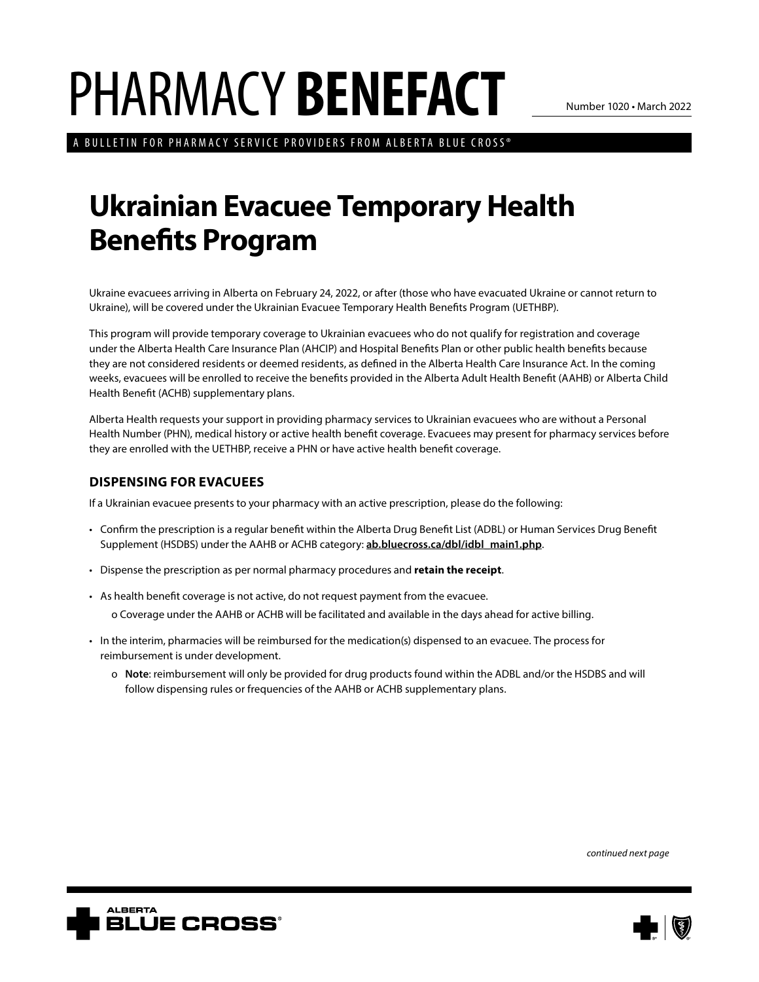## PHARMACY **BENEFACT**

Number 1020 • March 2022

A BULLETIN FOR PHARMACY SERVICE PROVIDERS FROM ALBERTA BLUE CROSS®

## **Ukrainian Evacuee Temporary Health Benefits Program**

Ukraine evacuees arriving in Alberta on February 24, 2022, or after (those who have evacuated Ukraine or cannot return to Ukraine), will be covered under the Ukrainian Evacuee Temporary Health Benefits Program (UETHBP).

This program will provide temporary coverage to Ukrainian evacuees who do not qualify for registration and coverage under the Alberta Health Care Insurance Plan (AHCIP) and Hospital Benefits Plan or other public health benefits because they are not considered residents or deemed residents, as defined in the Alberta Health Care Insurance Act. In the coming weeks, evacuees will be enrolled to receive the benefits provided in the Alberta Adult Health Benefit (AAHB) or Alberta Child Health Benefit (ACHB) supplementary plans.

Alberta Health requests your support in providing pharmacy services to Ukrainian evacuees who are without a Personal Health Number (PHN), medical history or active health benefit coverage. Evacuees may present for pharmacy services before they are enrolled with the UETHBP, receive a PHN or have active health benefit coverage.

## **DISPENSING FOR EVACUEES**

If a Ukrainian evacuee presents to your pharmacy with an active prescription, please do the following:

- Confirm the prescription is a regular benefit within the Alberta Drug Benefit List (ADBL) or Human Services Drug Benefit Supplement (HSDBS) under the AAHB or ACHB category: **ab.bluecross.ca/dbl/idbl\_main1.php**.
- Dispense the prescription as per normal pharmacy procedures and **retain the receipt**.
- As health benefit coverage is not active, do not request payment from the evacuee.

o Coverage under the AAHB or ACHB will be facilitated and available in the days ahead for active billing.

- In the interim, pharmacies will be reimbursed for the medication(s) dispensed to an evacuee. The process for reimbursement is under development.
	- o **Note**: reimbursement will only be provided for drug products found within the ADBL and/or the HSDBS and will follow dispensing rules or frequencies of the AAHB or ACHB supplementary plans.